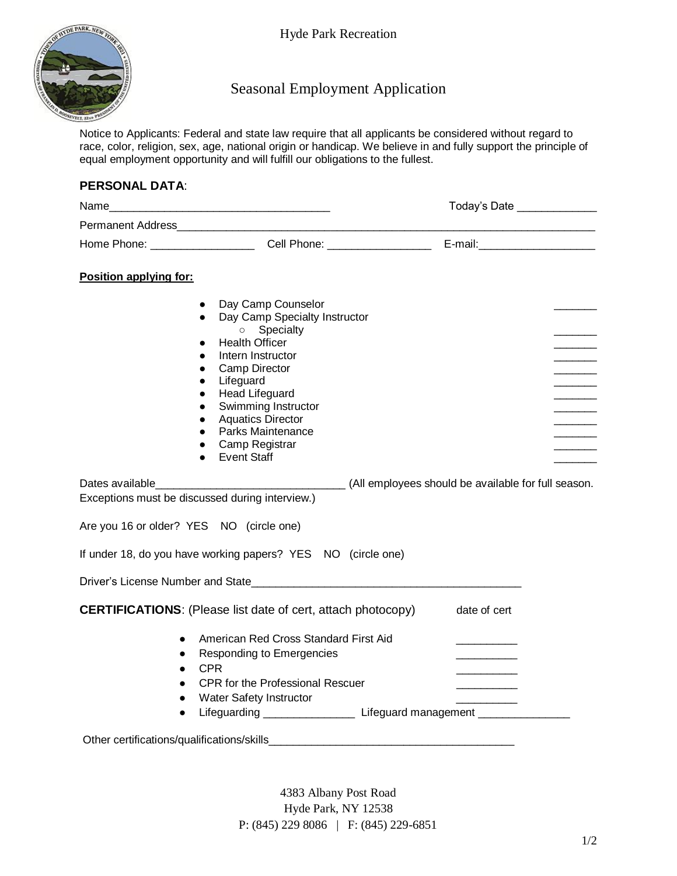

Hyde Park Recreation

## Seasonal Employment Application

Notice to Applicants: Federal and state law require that all applicants be considered without regard to race, color, religion, sex, age, national origin or handicap. We believe in and fully support the principle of equal employment opportunity and will fulfill our obligations to the fullest.

## **PERSONAL DATA**:

| Name_<br><u> 1989 - Johann John Stein, mars an deutscher Stein († 1918)</u>                                                                                                                                                                                                                                                                                                                           |                                                                             | Today's Date ______________ |  |
|-------------------------------------------------------------------------------------------------------------------------------------------------------------------------------------------------------------------------------------------------------------------------------------------------------------------------------------------------------------------------------------------------------|-----------------------------------------------------------------------------|-----------------------------|--|
|                                                                                                                                                                                                                                                                                                                                                                                                       |                                                                             |                             |  |
|                                                                                                                                                                                                                                                                                                                                                                                                       |                                                                             |                             |  |
| Position applying for:                                                                                                                                                                                                                                                                                                                                                                                |                                                                             |                             |  |
| Day Camp Counselor<br>$\bullet$<br>$\bullet$<br>o Specialty<br><b>Health Officer</b><br>$\bullet$<br>Intern Instructor<br>$\bullet$<br>Camp Director<br>$\bullet$<br>Lifeguard<br>$\bullet$<br><b>Head Lifeguard</b><br>$\bullet$<br>Swimming Instructor<br>$\bullet$<br><b>Aquatics Director</b><br>$\bullet$<br>Parks Maintenance<br>$\bullet$<br>Camp Registrar<br><b>Event Staff</b><br>$\bullet$ | Day Camp Specialty Instructor                                               |                             |  |
|                                                                                                                                                                                                                                                                                                                                                                                                       |                                                                             |                             |  |
| Exceptions must be discussed during interview.)                                                                                                                                                                                                                                                                                                                                                       |                                                                             |                             |  |
| Are you 16 or older? YES NO (circle one)                                                                                                                                                                                                                                                                                                                                                              |                                                                             |                             |  |
| If under 18, do you have working papers? YES NO (circle one)                                                                                                                                                                                                                                                                                                                                          |                                                                             |                             |  |
|                                                                                                                                                                                                                                                                                                                                                                                                       |                                                                             |                             |  |
| <b>CERTIFICATIONS:</b> (Please list date of cert, attach photocopy)                                                                                                                                                                                                                                                                                                                                   |                                                                             | date of cert                |  |
| $\bullet$                                                                                                                                                                                                                                                                                                                                                                                             | American Red Cross Standard First Aid                                       |                             |  |
| Responding to Emergencies<br>$\bullet$<br><b>CPR</b><br>$\bullet$                                                                                                                                                                                                                                                                                                                                     |                                                                             |                             |  |
|                                                                                                                                                                                                                                                                                                                                                                                                       | <b>CPR</b> for the Professional Rescuer                                     |                             |  |
| Water Safety Instructor<br>$\bullet$                                                                                                                                                                                                                                                                                                                                                                  |                                                                             |                             |  |
| $\bullet$                                                                                                                                                                                                                                                                                                                                                                                             | Lifeguarding _________________________Lifeguard management ________________ |                             |  |
|                                                                                                                                                                                                                                                                                                                                                                                                       |                                                                             |                             |  |

4383 Albany Post Road Hyde Park, NY 12538 P: (845) 229 8086 | F: (845) 229-6851